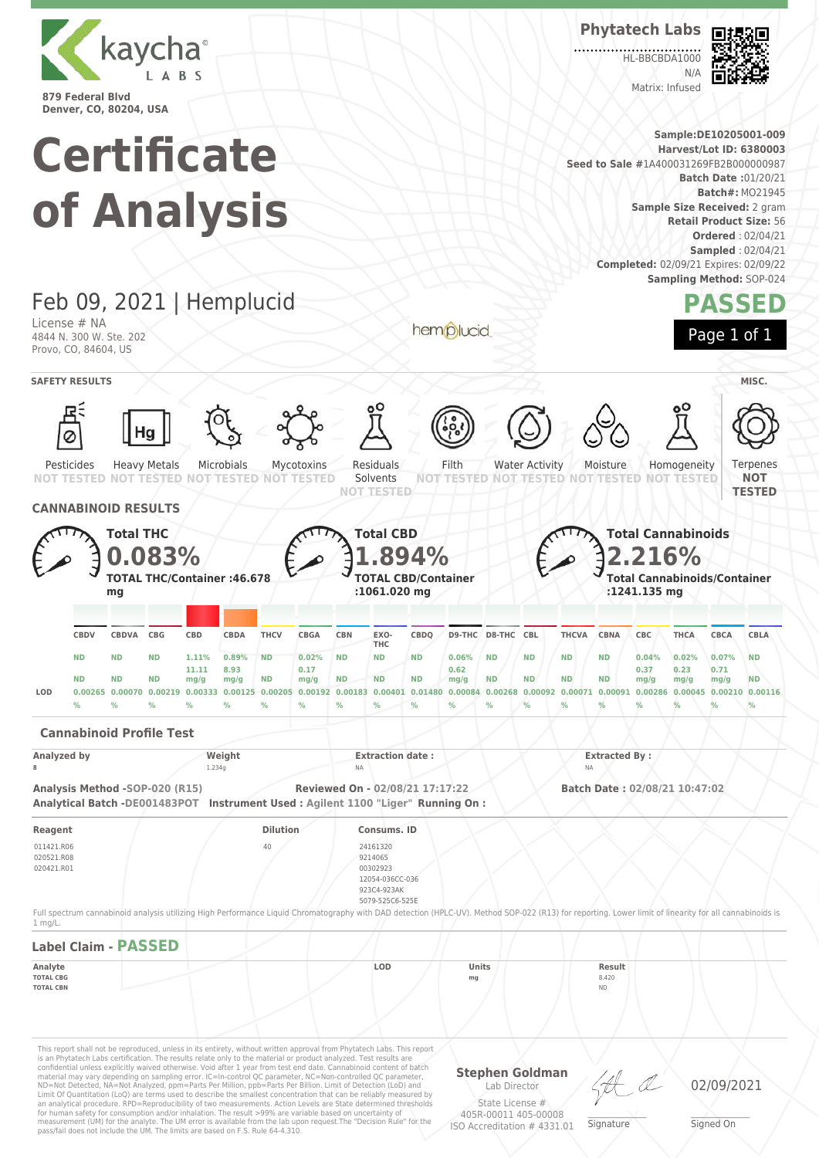

# **Certificate of Analysis**

**Phytatech Labs**

**HL-BBCBDA1000**  $N/L$ Matrix: Infused



**Sample:DE10205001-009 Harvest/Lot ID: 6380003 Seed to Sale #**1A400031269FB2B000000987 **Batch Date :**01/20/21 **Batch#:** MO21945 **Sample Size Received:** 2 gram **Retail Product Size:** 56 **Ordered** : 02/04/21 **Sampled** : 02/04/21 **Completed:** 02/09/21 Expires: 02/09/22 **Sampling Method:** SOP-024



Feb 09, 2021 | Hemplucid License # NA hemplucid 4844 N. 300 W. Ste. 202 Provo, CO, 84604, US **SAFETY RESULTS** MISC. Ø Heavy Metals Microbials Residuals Filth Water Activity Homogeneity Ternenes Pesticides Mycotoxins Moisture Solvents **NOT TESTED** NOT **NOT TESTED TESTED NOT NOT TESTED NOT TESTED NOT TESTED NOT TESTED NOT TESTED NOT TESTED TESTED CANNABINOID RESULTS Total CBD Total THC Total Cannabinoids 1.894% 2.216% 0.083% TOTAL THC/Container :46.678 TOTAL CBD/Container Total Cannabinoids/Container mg :1061.020 mg :1241.135 mg CBDQ D9-THC D8-THC CBL THCVA CBNA CBC THCA CBCA CBLA CBDV CBDVA CBG CBD CBDA THCV CBGA CBN EXO-THC ND ND ND 1.11% 0.89% ND 0.02% ND ND ND 0.06% ND ND ND ND 0.04% 0.02% 0.07% ND 11.11 8.93 0.17 0.62 0.37 0.23 0.71 ND ND ND mg/g ND mg/g ND ND ND mg/g ND ND ND ND mg/g ND mg/g mg/g mg/g** LOD 0.00265 0.00070 0.00219 0.00333 0.00125 0.00205 0.00192 0.00183 0.00401 0.01480 0.00084 0.00268 0.00092 0.00071 0.00091 0.00286 0.00045 0.00210 0.00116 **% % % % % % % % % % % % % % % % % % % Cannabinoid Profile Test**

This report shall not be reproduced, unless in its entirety, without written approval from Phytatech Labs. This report is an Phytatech Labs certification. The results relate only to the material or product analyzed. Test results are<br>confidential unless explicitly waived otherwise. Void after 1 year from test end date. Cannabinoid content o **Stephen Goldman Analyzed by Weight Extraction date : Extracted By : Extracted By : Extracted By : Analyzed by Extracted By** : **8** 1.234g NA NA **Analysis Method -SOP-020 (R15) Reviewed On - 02/08/21 17:17:22 Batch Date : 02/08/21 10:47:02 Analytical Batch -DE001483POT Instrument Used : Agilent 1100 "Liger" Running On : Reagent Dilution Consums. ID** 011421.R06 020521.R08 020421.R01 40 24161320 9214065 00302923 12054-036CC-036 923C4-923AK 5079-525C6-525E Full spectrum cannabinoid analysis utilizing High Performance Liquid Chromatography with DAD detection (HPLC-UV). Method SOP-022 (R13) for reporting. Lower limit of linearity for all cannabinoids is 1 mg/L. **Label Claim - PASSED Analyte LOD Units Result TOTAL CBG mg** 8.420 **TOTAL CBN** ND

Limit Of Quantitation (LoQ) are terms used to describe the smallest concentration that can be reliably measured by an analytical procedure. RPD=Reproducibility of two measurements. Action Levels are State determined thresholds for human safety for consumption and/or inhalation. The result >99% are variable based on uncertainty of measurement (UM) for the analyte. The UM error is available from the lab upon request.The "Decision Rule" for the pass/fail does not include the UM. The limits are based on F.S. Rule 64-4.310.

Lab Director State License # 405R-00011 405-00008

ISO Accreditation # 4331.01

\_\_\_\_\_\_\_\_\_\_\_\_\_\_\_\_\_\_\_ Signature

02/09/2021

\_\_\_\_\_\_\_\_\_\_\_\_\_\_\_\_\_\_\_ Signed On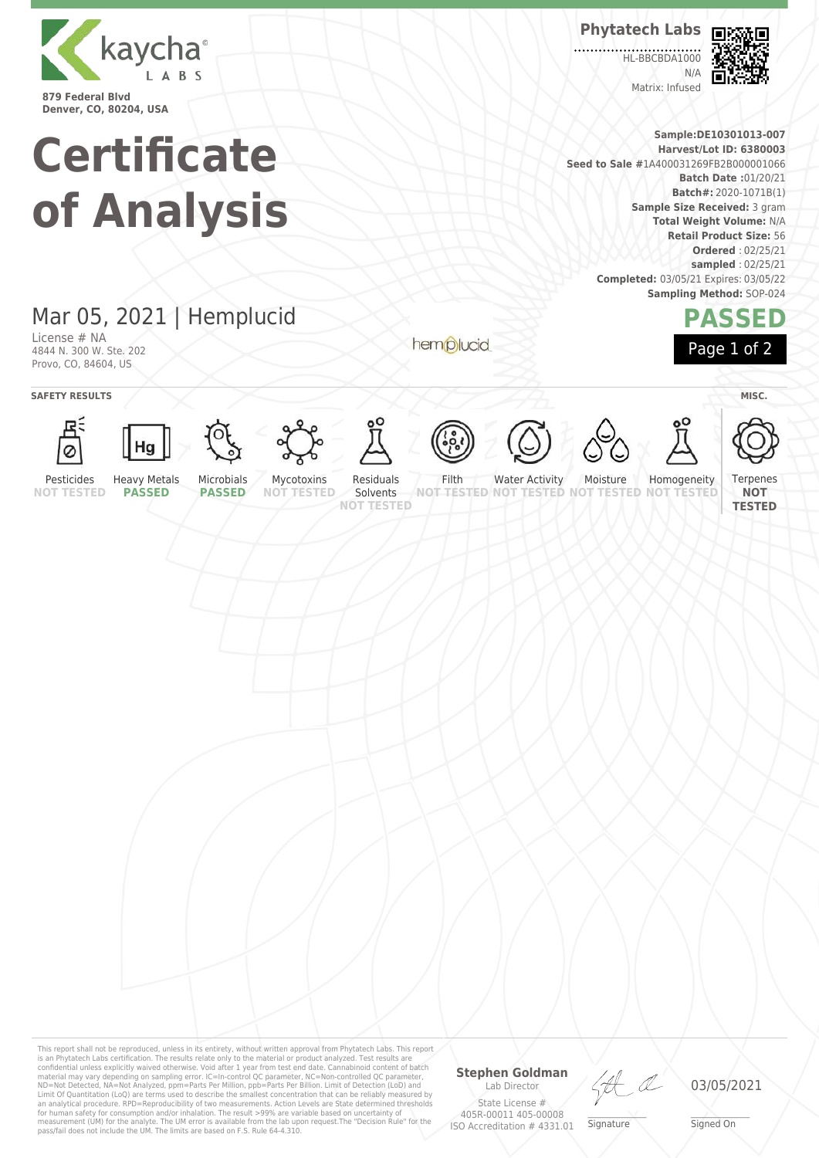

**Certificate of Analysis**

## Mar 05, 2021 | Hemplucid

License # NA 4844 N. 300 W. Ste. 202 Provo, CO, 84604, US

hemplucid



**HL-BBCBDA1000**  $N/L$ Matrix: Infused



**Sample:DE10301013-007 Harvest/Lot ID: 6380003 Seed to Sale #**1A400031269FB2B000001066 **Batch Date :**01/20/21 **Batch#:** 2020-1071B(1) **Sample Size Received:** 3 gram **Total Weight Volume:** N/A **Retail Product Size:** 56 **Ordered** : 02/25/21 **sampled** : 02/25/21 **Completed:** 03/05/21 Expires: 03/05/22 **Sampling Method:** SOP-024

### **PASSED** Page 1 of 2

**SAFETY RESULTS** / **MISC.** 

































Pesticides **NOT TESTED**

Heavy Metals **PASSED** Microbials **PASSED**

Mycotoxins **NOT TESTED**

Residuals Solvents

**NOT TESTED**

Filth

**NOT TESTED NOT TESTED NOT TESTED NOT TESTED** Water Activity Moisture Homogeneity

**Terpenes NOT TESTED**

This report shall not be reproduced, unless in its entirety, without written approval from Phytatech Labs. This report<br>is an Phytatech Labs certification. The results relate only to the material or product analyzed. Test

#### **Stephen Goldman** Lab Director

State License # 405R-00011 405-00008 ISO Accreditation # 4331.01

\_\_\_\_\_\_\_\_\_\_\_\_\_\_\_\_\_\_\_ Signature

03/05/2021

\_\_\_\_\_\_\_\_\_\_\_\_\_\_\_\_\_\_\_ Signed On